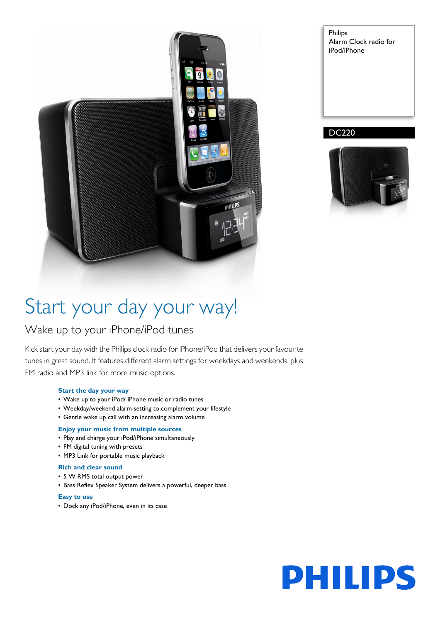

Philips Alarm Clock radio for iPod/iPhone

#### DC220



## Start your day your way!

### Wake up to your iPhone/iPod tunes

Kick start your day with the Philips clock radio for iPhone/iPod that delivers your favourite tunes in great sound. It features different alarm settings for weekdays and weekends, plus FM radio and MP3 link for more music options.

#### **Start the day your way**

- Wake up to your iPod/ iPhone music or radio tunes
- Weekday/weekend alarm setting to complement your lifestyle
- Gentle wake up call with an increasing alarm volume

#### **Enjoy your music from multiple sources**

- Play and charge your iPod/iPhone simultaneously
- FM digital tuning with presets
- MP3 Link for portable music playback

#### **Rich and clear sound**

- 5 W RMS total output power
- Bass Reflex Speaker System delivers a powerful, deeper bass

#### **Easy to use**

• Dock any iPod/iPhone, even in its case

# **PHILIPS**